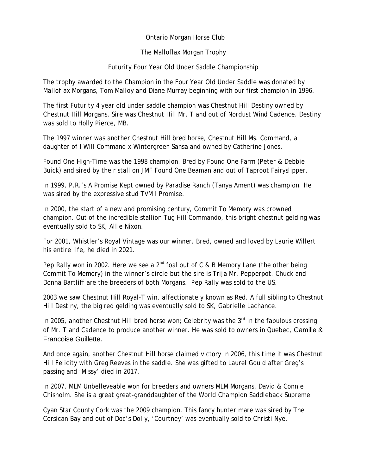## Ontario Morgan Horse Club

## The Malloflax Morgan Trophy

## Futurity Four Year Old Under Saddle Championship

The trophy awarded to the Champion in the Four Year Old Under Saddle was donated by Malloflax Morgans, Tom Malloy and Diane Murray beginning with our first champion in 1996.

The first Futurity 4 year old under saddle champion was Chestnut Hill Destiny owned by Chestnut Hill Morgans. Sire was Chestnut Hill Mr. T and out of Nordust Wind Cadence. Destiny was sold to Holly Pierce, MB.

The 1997 winner was another Chestnut Hill bred horse, Chestnut Hill Ms. Command, a daughter of I Will Command x Wintergreen Sansa and owned by Catherine Jones.

Found One High-Time was the 1998 champion. Bred by Found One Farm (Peter & Debbie Buick) and sired by their stallion JMF Found One Beaman and out of Taproot Fairyslipper.

In 1999, P.R.'s A Promise Kept owned by Paradise Ranch (Tanya Ament) was champion. He was sired by the expressive stud TVM I Promise.

In 2000, the start of a new and promising century, Commit To Memory was crowned champion. Out of the incredible stallion Tug Hill Commando, this bright chestnut gelding was eventually sold to SK, Allie Nixon.

For 2001, Whistler's Royal Vintage was our winner. Bred, owned and loved by Laurie Willert his entire life, he died in 2021.

Pep Rally won in 2002. Here we see a  $2^{nd}$  foal out of C & B Memory Lane (the other being Commit To Memory) in the winner's circle but the sire is Trija Mr. Pepperpot. Chuck and Donna Bartliff are the breeders of both Morgans. Pep Rally was sold to the US.

2003 we saw Chestnut Hill Royal-T win, affectionately known as Red. A full sibling to Chestnut Hill Destiny, the big red gelding was eventually sold to SK, Gabrielle Lachance.

In 2005, another Chestnut Hill bred horse won; Celebrity was the  $3<sup>rd</sup>$  in the fabulous crossing of Mr. T and Cadence to produce another winner. He was sold to owners in Quebec, Camille & Francoise Guillette.

And once again, another Chestnut Hill horse claimed victory in 2006, this time it was Chestnut Hill Felicity with Greg Reeves in the saddle. She was gifted to Laurel Gould after Greg's passing and 'Missy' died in 2017.

In 2007, MLM Unbelleveable won for breeders and owners MLM Morgans, David & Connie Chisholm. She is a great great-granddaughter of the World Champion Saddleback Supreme.

Cyan Star County Cork was the 2009 champion. This fancy hunter mare was sired by The Corsican Bay and out of Doc's Dolly, 'Courtney' was eventually sold to Christi Nye.